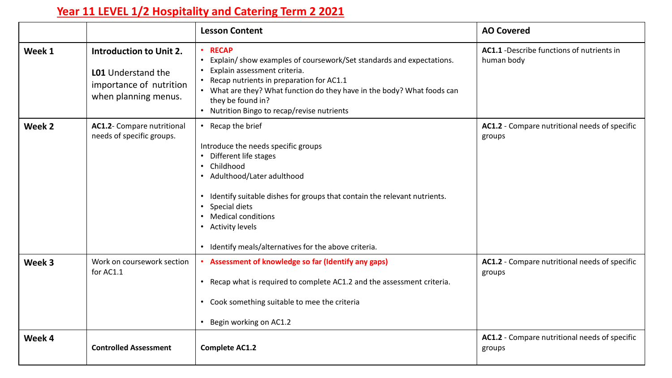## **Year 11 LEVEL 1/2 Hospitality and Catering Term 2 2021**

|        |                                                                                                                | <b>Lesson Content</b>                                                                                                                                                                                                                                                                                                                   | <b>AO Covered</b>                                        |
|--------|----------------------------------------------------------------------------------------------------------------|-----------------------------------------------------------------------------------------------------------------------------------------------------------------------------------------------------------------------------------------------------------------------------------------------------------------------------------------|----------------------------------------------------------|
| Week 1 | <b>Introduction to Unit 2.</b><br><b>LO1</b> Understand the<br>importance of nutrition<br>when planning menus. | • RECAP<br>Explain/show examples of coursework/Set standards and expectations.<br>Explain assessment criteria.<br>Recap nutrients in preparation for AC1.1<br>• What are they? What function do they have in the body? What foods can<br>they be found in?<br>• Nutrition Bingo to recap/revise nutrients                               | AC1.1 - Describe functions of nutrients in<br>human body |
| Week 2 | AC1.2- Compare nutritional<br>needs of specific groups.                                                        | Recap the brief<br>Introduce the needs specific groups<br>Different life stages<br>• Childhood<br>• Adulthood/Later adulthood<br>• Identify suitable dishes for groups that contain the relevant nutrients.<br>Special diets<br><b>Medical conditions</b><br>• Activity levels<br>• Identify meals/alternatives for the above criteria. | AC1.2 - Compare nutritional needs of specific<br>groups  |
| Week 3 | Work on coursework section<br>for AC1.1                                                                        | Assessment of knowledge so far (Identify any gaps)<br>• Recap what is required to complete AC1.2 and the assessment criteria.<br>• Cook something suitable to mee the criteria<br>Begin working on AC1.2                                                                                                                                | AC1.2 - Compare nutritional needs of specific<br>groups  |
| Week 4 | <b>Controlled Assessment</b>                                                                                   | <b>Complete AC1.2</b>                                                                                                                                                                                                                                                                                                                   | AC1.2 - Compare nutritional needs of specific<br>groups  |